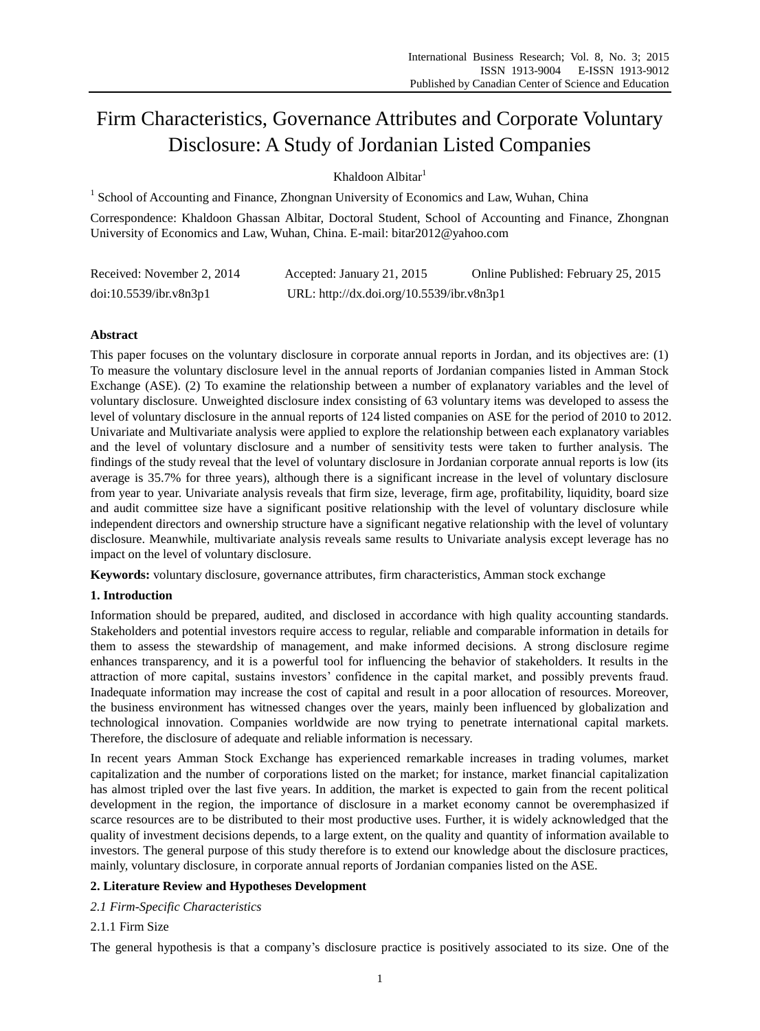# Firm Characteristics, Governance Attributes and Corporate Voluntary Disclosure: A Study of Jordanian Listed Companies

Khaldoon Albitar<sup>1</sup>

<sup>1</sup> School of Accounting and Finance, Zhongnan University of Economics and Law, Wuhan, China

Correspondence: Khaldoon Ghassan Albitar, Doctoral Student, School of Accounting and Finance, Zhongnan University of Economics and Law, Wuhan, China. E-mail: [bitar2012@yahoo.com](mailto:bitar2012@yahoo.com)

| Received: November 2, 2014 | Accepted: January 21, 2015                | Online Published: February 25, 2015 |
|----------------------------|-------------------------------------------|-------------------------------------|
| doi:10.5539/ibr.v8n3p1     | URL: http://dx.doi.org/10.5539/ibr.v8n3p1 |                                     |

# **Abstract**

This paper focuses on the voluntary disclosure in corporate annual reports in Jordan, and its objectives are: (1) To measure the voluntary disclosure level in the annual reports of Jordanian companies listed in Amman Stock Exchange (ASE). (2) To examine the relationship between a number of explanatory variables and the level of voluntary disclosure. Unweighted disclosure index consisting of 63 voluntary items was developed to assess the level of voluntary disclosure in the annual reports of 124 listed companies on ASE for the period of 2010 to 2012. Univariate and Multivariate analysis were applied to explore the relationship between each explanatory variables and the level of voluntary disclosure and a number of sensitivity tests were taken to further analysis. The findings of the study reveal that the level of voluntary disclosure in Jordanian corporate annual reports is low (its average is 35.7% for three years), although there is a significant increase in the level of voluntary disclosure from year to year. Univariate analysis reveals that firm size, leverage, firm age, profitability, liquidity, board size and audit committee size have a significant positive relationship with the level of voluntary disclosure while independent directors and ownership structure have a significant negative relationship with the level of voluntary disclosure. Meanwhile, multivariate analysis reveals same results to Univariate analysis except leverage has no impact on the level of voluntary disclosure.

**Keywords:** voluntary disclosure, governance attributes, firm characteristics, Amman stock exchange

# **1. Introduction**

Information should be prepared, audited, and disclosed in accordance with high quality accounting standards. Stakeholders and potential investors require access to regular, reliable and comparable information in details for them to assess the stewardship of management, and make informed decisions. A strong disclosure regime enhances transparency, and it is a powerful tool for influencing the behavior of stakeholders. It results in the attraction of more capital, sustains investors' confidence in the capital market, and possibly prevents fraud. Inadequate information may increase the cost of capital and result in a poor allocation of resources. Moreover, the business environment has witnessed changes over the years, mainly been influenced by globalization and technological innovation. Companies worldwide are now trying to penetrate international capital markets. Therefore, the disclosure of adequate and reliable information is necessary.

In recent years Amman Stock Exchange has experienced remarkable increases in trading volumes, market capitalization and the number of corporations listed on the market; for instance, market financial capitalization has almost tripled over the last five years. In addition, the market is expected to gain from the recent political development in the region, the importance of disclosure in a market economy cannot be overemphasized if scarce resources are to be distributed to their most productive uses. Further, it is widely acknowledged that the quality of investment decisions depends, to a large extent, on the quality and quantity of information available to investors. The general purpose of this study therefore is to extend our knowledge about the disclosure practices, mainly, voluntary disclosure, in corporate annual reports of Jordanian companies listed on the ASE.

# **2. Literature Review and Hypotheses Development**

# *2.1 Firm-Specific Characteristics*

# 2.1.1 Firm Size

The general hypothesis is that a company's disclosure practice is positively associated to its size. One of the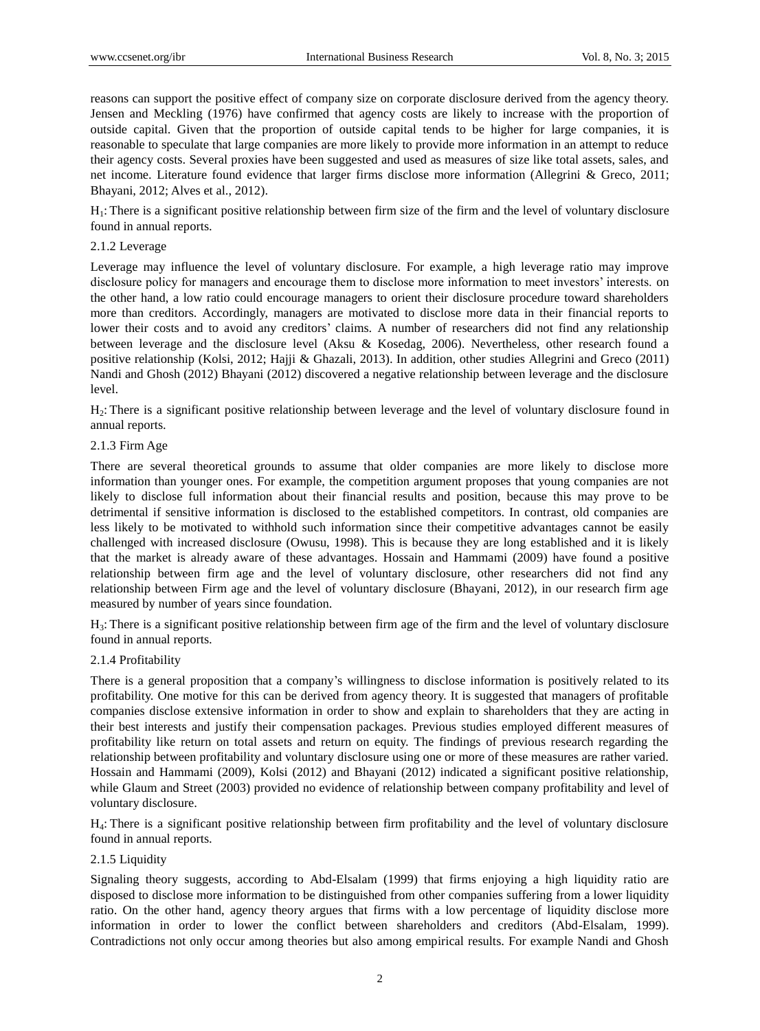reasons can support the positive effect of company size on corporate disclosure derived from the agency theory. Jensen and Meckling (1976) have confirmed that agency costs are likely to increase with the proportion of outside capital. Given that the proportion of outside capital tends to be higher for large companies, it is reasonable to speculate that large companies are more likely to provide more information in an attempt to reduce their agency costs. Several proxies have been suggested and used as measures of size like total assets, sales, and net income. Literature found evidence that larger firms disclose more information (Allegrini & Greco, 2011; Bhayani, 2012; Alves et al., 2012).

H1: There is a significant positive relationship between firm size of the firm and the level of voluntary disclosure found in annual reports.

## 2.1.2 Leverage

Leverage may influence the level of voluntary disclosure. For example, a high leverage ratio may improve disclosure policy for managers and encourage them to disclose more information to meet investors' interests. on the other hand, a low ratio could encourage managers to orient their disclosure procedure toward shareholders more than creditors. Accordingly, managers are motivated to disclose more data in their financial reports to lower their costs and to avoid any creditors' claims. A number of researchers did not find any relationship between leverage and the disclosure level (Aksu & Kosedag, 2006). Nevertheless, other research found a positive relationship (Kolsi, 2012; Hajji & Ghazali, 2013). In addition, other studies Allegrini and Greco (2011) Nandi and Ghosh (2012) Bhayani (2012) discovered a negative relationship between leverage and the disclosure level.

H2: There is a significant positive relationship between leverage and the level of voluntary disclosure found in annual reports.

## 2.1.3 Firm Age

There are several theoretical grounds to assume that older companies are more likely to disclose more information than younger ones. For example, the competition argument proposes that young companies are not likely to disclose full information about their financial results and position, because this may prove to be detrimental if sensitive information is disclosed to the established competitors. In contrast, old companies are less likely to be motivated to withhold such information since their competitive advantages cannot be easily challenged with increased disclosure (Owusu, 1998). This is because they are long established and it is likely that the market is already aware of these advantages. Hossain and Hammami (2009) have found a positive relationship between firm age and the level of voluntary disclosure, other researchers did not find any relationship between Firm age and the level of voluntary disclosure (Bhayani, 2012), in our research firm age measured by number of years since foundation.

H3: There is a significant positive relationship between firm age of the firm and the level of voluntary disclosure found in annual reports.

## 2.1.4 Profitability

There is a general proposition that a company's willingness to disclose information is positively related to its profitability. One motive for this can be derived from agency theory. It is suggested that managers of profitable companies disclose extensive information in order to show and explain to shareholders that they are acting in their best interests and justify their compensation packages. Previous studies employed different measures of profitability like return on total assets and return on equity. The findings of previous research regarding the relationship between profitability and voluntary disclosure using one or more of these measures are rather varied. Hossain and Hammami (2009), Kolsi (2012) and Bhayani (2012) indicated a significant positive relationship, while Glaum and Street (2003) provided no evidence of relationship between company profitability and level of voluntary disclosure.

H4: There is a significant positive relationship between firm profitability and the level of voluntary disclosure found in annual reports.

## 2.1.5 Liquidity

Signaling theory suggests, according to Abd-Elsalam (1999) that firms enjoying a high liquidity ratio are disposed to disclose more information to be distinguished from other companies suffering from a lower liquidity ratio. On the other hand, agency theory argues that firms with a low percentage of liquidity disclose more information in order to lower the conflict between shareholders and creditors (Abd-Elsalam, 1999). Contradictions not only occur among theories but also among empirical results. For example Nandi and Ghosh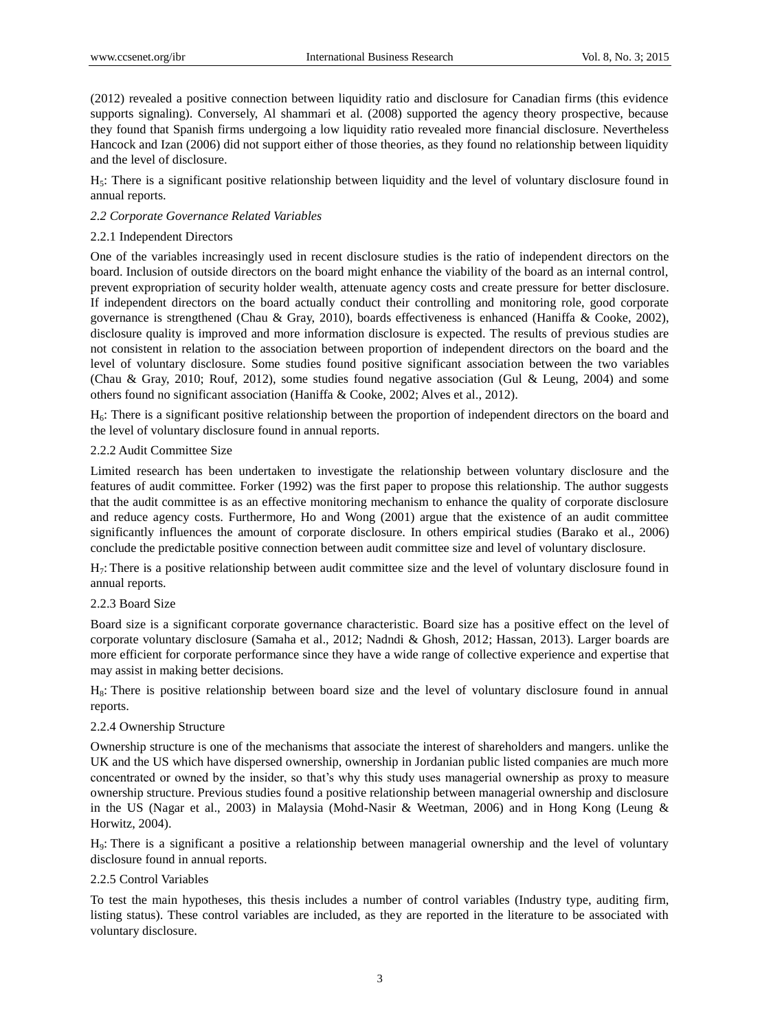(2012) revealed a positive connection between liquidity ratio and disclosure for Canadian firms (this evidence supports signaling). Conversely, Al shammari et al. (2008) supported the agency theory prospective, because they found that Spanish firms undergoing a low liquidity ratio revealed more financial disclosure. Nevertheless Hancock and Izan (2006) did not support either of those theories, as they found no relationship between liquidity and the level of disclosure.

H5: There is a significant positive relationship between liquidity and the level of voluntary disclosure found in annual reports.

# *2.2 Corporate Governance Related Variables*

# 2.2.1 Independent Directors

One of the variables increasingly used in recent disclosure studies is the ratio of independent directors on the board. Inclusion of outside directors on the board might enhance the viability of the board as an internal control, prevent expropriation of security holder wealth, attenuate agency costs and create pressure for better disclosure. If independent directors on the board actually conduct their controlling and monitoring role, good corporate governance is strengthened (Chau & Gray, 2010), boards effectiveness is enhanced (Haniffa & Cooke, 2002), disclosure quality is improved and more information disclosure is expected. The results of previous studies are not consistent in relation to the association between proportion of independent directors on the board and the level of voluntary disclosure. Some studies found positive significant association between the two variables (Chau & Gray, 2010; Rouf, 2012), some studies found negative association (Gul & Leung, 2004) and some others found no significant association (Haniffa & Cooke, 2002; Alves et al., 2012).

H6: There is a significant positive relationship between the proportion of independent directors on the board and the level of voluntary disclosure found in annual reports.

# 2.2.2 Audit Committee Size

Limited research has been undertaken to investigate the relationship between voluntary disclosure and the features of audit committee. Forker (1992) was the first paper to propose this relationship. The author suggests that the audit committee is as an effective monitoring mechanism to enhance the quality of corporate disclosure and reduce agency costs. Furthermore, Ho and Wong (2001) argue that the existence of an audit committee significantly influences the amount of corporate disclosure. In others empirical studies (Barako et al., 2006) conclude the predictable positive connection between audit committee size and level of voluntary disclosure.

H7: There is a positive relationship between audit committee size and the level of voluntary disclosure found in annual reports.

# 2.2.3 Board Size

Board size is a significant corporate governance characteristic. Board size has a positive effect on the level of corporate voluntary disclosure (Samaha et al., 2012; Nadndi & Ghosh, 2012; Hassan, 2013). Larger boards are more efficient for corporate performance since they have a wide range of collective experience and expertise that may assist in making better decisions.

H8: There is positive relationship between board size and the level of voluntary disclosure found in annual reports.

# 2.2.4 Ownership Structure

Ownership structure is one of the mechanisms that associate the interest of shareholders and mangers. unlike the UK and the US which have dispersed ownership, ownership in Jordanian public listed companies are much more concentrated or owned by the insider, so that's why this study uses managerial ownership as proxy to measure ownership structure. Previous studies found a positive relationship between managerial ownership and disclosure in the US (Nagar et al., 2003) in Malaysia (Mohd-Nasir & Weetman, 2006) and in Hong Kong (Leung & Horwitz, 2004).

H9: There is a significant a positive a relationship between managerial ownership and the level of voluntary disclosure found in annual reports.

# 2.2.5 Control Variables

To test the main hypotheses, this thesis includes a number of control variables (Industry type, auditing firm, listing status). These control variables are included, as they are reported in the literature to be associated with voluntary disclosure.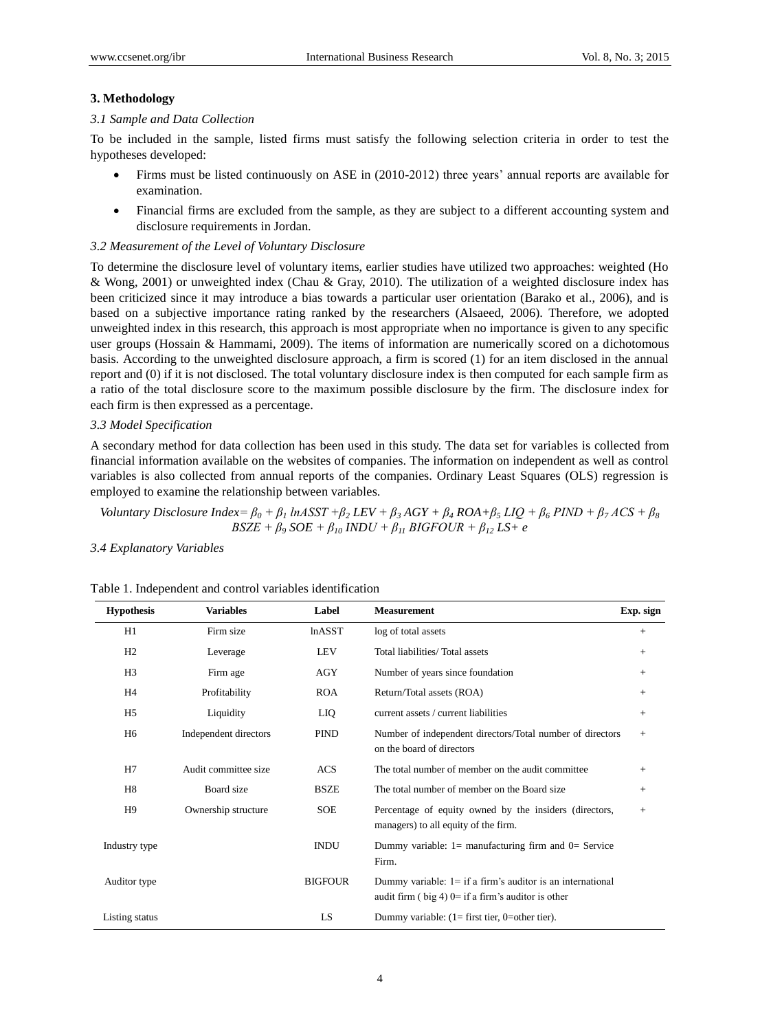## **3. Methodology**

#### *3.1 Sample and Data Collection*

To be included in the sample, listed firms must satisfy the following selection criteria in order to test the hypotheses developed:

- Firms must be listed continuously on ASE in (2010-2012) three years' annual reports are available for examination.
- Financial firms are excluded from the sample, as they are subject to a different accounting system and disclosure requirements in Jordan.

### *3.2 Measurement of the Level of Voluntary Disclosure*

To determine the disclosure level of voluntary items, earlier studies have utilized two approaches: weighted (Ho & Wong, 2001) or unweighted index (Chau & Gray, 2010). The utilization of a weighted disclosure index has been criticized since it may introduce a bias towards a particular user orientation (Barako et al., 2006), and is based on a subjective importance rating ranked by the researchers (Alsaeed, 2006). Therefore, we adopted unweighted index in this research, this approach is most appropriate when no importance is given to any specific user groups (Hossain & Hammami, 2009). The items of information are numerically scored on a dichotomous basis. According to the unweighted disclosure approach, a firm is scored (1) for an item disclosed in the annual report and (0) if it is not disclosed. The total voluntary disclosure index is then computed for each sample firm as a ratio of the total disclosure score to the maximum possible disclosure by the firm. The disclosure index for each firm is then expressed as a percentage.

#### *3.3 Model Specification*

A secondary method for data collection has been used in this study. The data set for variables is collected from financial information available on the websites of companies. The information on independent as well as control variables is also collected from annual reports of the companies. Ordinary Least Squares (OLS) regression is employed to examine the relationship between variables.

*Voluntary Disclosure Index* = 
$$
\beta_0 + \beta_1
$$
 *lnASST* + $\beta_2$  *LEV* +  $\beta_3$  *AGY* +  $\beta_4$  *ROA* + $\beta_5$  *LIQ* +  $\beta_6$  *PID* +  $\beta_7$  *ACS* +  $\beta_8$  *BSZE* +  $\beta_9$  *SOE* +  $\beta_{10}$  *INDU* +  $\beta_{11}$  *BIGFOUR* +  $\beta_{12}$  *LS* + *e*

### *3.4 Explanatory Variables*

| <b>Hypothesis</b> | <b>Variables</b>      | Label          | <b>Measurement</b>                                                                                                                                    | Exp. sign |
|-------------------|-----------------------|----------------|-------------------------------------------------------------------------------------------------------------------------------------------------------|-----------|
| H1                | Firm size             | lnASST         | log of total assets                                                                                                                                   | $+$       |
| H2                | Leverage              | <b>LEV</b>     | Total liabilities/Total assets                                                                                                                        | $^{+}$    |
| H <sub>3</sub>    | Firm age              | <b>AGY</b>     | Number of years since foundation                                                                                                                      | $^{+}$    |
| H4                | Profitability         | <b>ROA</b>     | Return/Total assets (ROA)                                                                                                                             | $+$       |
| H <sub>5</sub>    | Liquidity             | LIQ.           | current assets / current liabilities                                                                                                                  | $^{+}$    |
| H <sub>6</sub>    | Independent directors | <b>PIND</b>    | Number of independent directors/Total number of directors<br>on the board of directors                                                                | $+$       |
| H7                | Audit committee size  | <b>ACS</b>     | The total number of member on the audit committee                                                                                                     | $+$       |
| H8                | Board size            | <b>BSZE</b>    | The total number of member on the Board size                                                                                                          | $^{+}$    |
| H <sub>9</sub>    | Ownership structure   | <b>SOE</b>     | Percentage of equity owned by the insiders (directors,<br>managers) to all equity of the firm.                                                        | $+$       |
| Industry type     |                       | <b>INDU</b>    | Dummy variable: $1 =$ manufacturing firm and $0 =$ Service<br>Firm.                                                                                   |           |
| Auditor type      |                       | <b>BIGFOUR</b> | Dummy variable: $l =$ if a firm's auditor is an international<br>audit firm $\left( \right.$ big 4) $\left. 0 = \right.$ if a firm's auditor is other |           |
| Listing status    |                       | LS             | Dummy variable: $(1 = first \text{ tier}, 0 = other \text{ tier}).$                                                                                   |           |

| Table 1. Independent and control variables identification |  |  |  |
|-----------------------------------------------------------|--|--|--|
|-----------------------------------------------------------|--|--|--|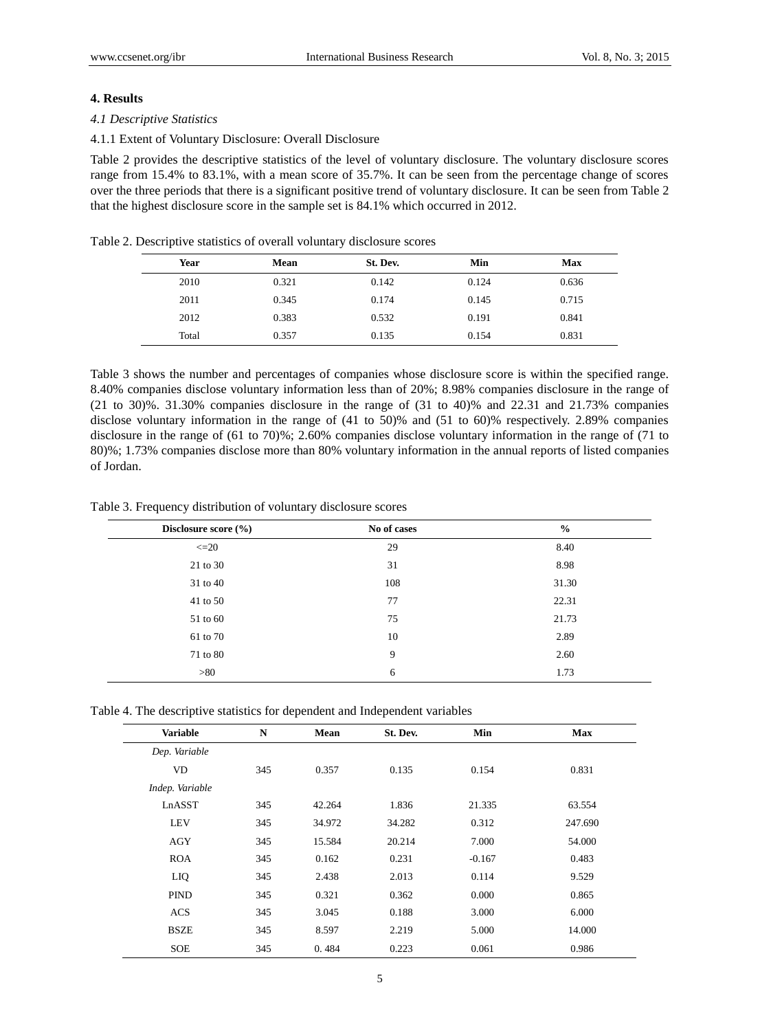# **4. Results**

## *4.1 Descriptive Statistics*

## 4.1.1 Extent of Voluntary Disclosure: Overall Disclosure

Table 2 provides the descriptive statistics of the level of voluntary disclosure. The voluntary disclosure scores range from 15.4% to 83.1%, with a mean score of 35.7%. It can be seen from the percentage change of scores over the three periods that there is a significant positive trend of voluntary disclosure. It can be seen from Table 2 that the highest disclosure score in the sample set is 84.1% which occurred in 2012.

| Year  | <b>Mean</b> | St. Dev. | Min   | <b>Max</b> |
|-------|-------------|----------|-------|------------|
| 2010  | 0.321       | 0.142    | 0.124 | 0.636      |
| 2011  | 0.345       | 0.174    | 0.145 | 0.715      |
| 2012  | 0.383       | 0.532    | 0.191 | 0.841      |
| Total | 0.357       | 0.135    | 0.154 | 0.831      |

Table 3 shows the number and percentages of companies whose disclosure score is within the specified range. 8.40% companies disclose voluntary information less than of 20%; 8.98% companies disclosure in the range of (21 to 30)%. 31.30% companies disclosure in the range of (31 to 40)% and 22.31 and 21.73% companies disclose voluntary information in the range of (41 to 50)% and (51 to 60)% respectively. 2.89% companies disclosure in the range of (61 to 70)%; 2.60% companies disclose voluntary information in the range of (71 to 80)%; 1.73% companies disclose more than 80% voluntary information in the annual reports of listed companies of Jordan.

| Disclosure score $(\% )$ | No of cases | $\frac{6}{6}$ |
|--------------------------|-------------|---------------|
| $\leq=20$                | 29          | 8.40          |
| 21 to 30                 | 31          | 8.98          |
| 31 to 40                 | 108         | 31.30         |
| 41 to 50                 | 77          | 22.31         |
| 51 to 60                 | 75          | 21.73         |
| 61 to 70                 | 10          | 2.89          |
| 71 to 80                 | 9           | 2.60          |
| >80                      | 6           | 1.73          |

|  |  | Table 4. The descriptive statistics for dependent and Independent variables |  |
|--|--|-----------------------------------------------------------------------------|--|
|  |  |                                                                             |  |

| <b>Variable</b> | N   | Mean   | St. Dev. | Min      | <b>Max</b> |
|-----------------|-----|--------|----------|----------|------------|
| Dep. Variable   |     |        |          |          |            |
| <b>VD</b>       | 345 | 0.357  | 0.135    | 0.154    | 0.831      |
| Indep. Variable |     |        |          |          |            |
| LnASST          | 345 | 42.264 | 1.836    | 21.335   | 63.554     |
| <b>LEV</b>      | 345 | 34.972 | 34.282   | 0.312    | 247.690    |
| <b>AGY</b>      | 345 | 15.584 | 20.214   | 7.000    | 54.000     |
| <b>ROA</b>      | 345 | 0.162  | 0.231    | $-0.167$ | 0.483      |
| LIQ             | 345 | 2.438  | 2.013    | 0.114    | 9.529      |
| <b>PIND</b>     | 345 | 0.321  | 0.362    | 0.000    | 0.865      |
| <b>ACS</b>      | 345 | 3.045  | 0.188    | 3.000    | 6.000      |
| <b>BSZE</b>     | 345 | 8.597  | 2.219    | 5.000    | 14.000     |
| <b>SOE</b>      | 345 | 0.484  | 0.223    | 0.061    | 0.986      |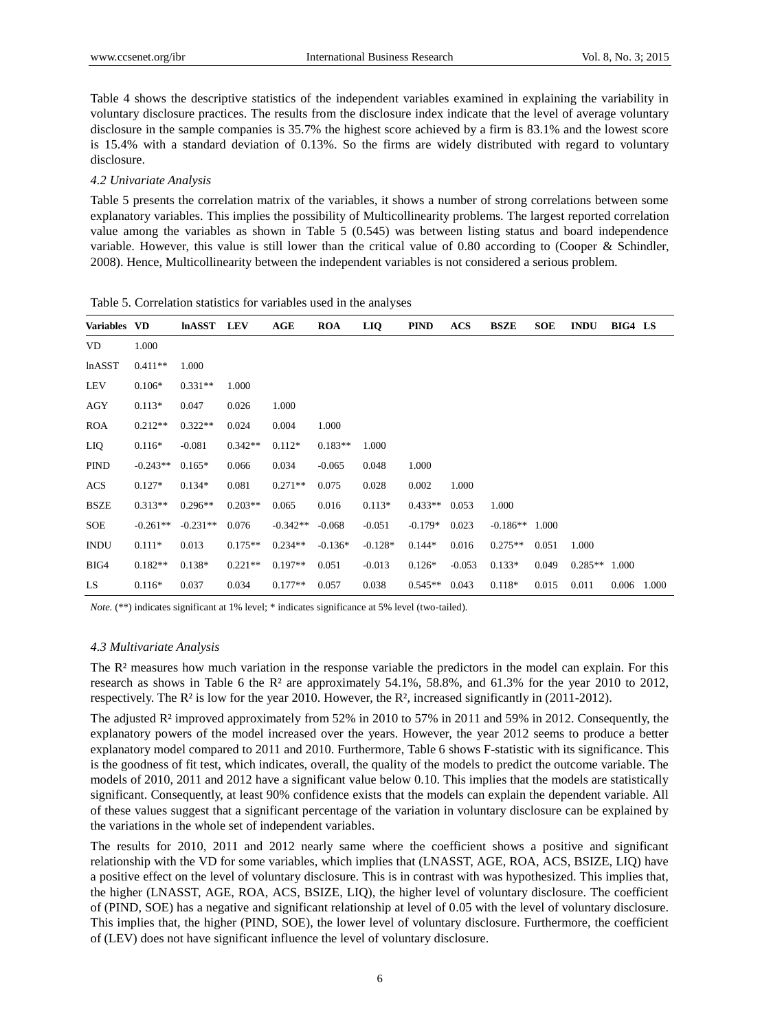Table 4 shows the descriptive statistics of the independent variables examined in explaining the variability in voluntary disclosure practices. The results from the disclosure index indicate that the level of average voluntary disclosure in the sample companies is 35.7% the highest score achieved by a firm is 83.1% and the lowest score is 15.4% with a standard deviation of 0.13%. So the firms are widely distributed with regard to voluntary disclosure.

#### *4.2 Univariate Analysis*

Table 5 presents the correlation matrix of the variables, it shows a number of strong correlations between some explanatory variables. This implies the possibility of Multicollinearity problems. The largest reported correlation value among the variables as shown in Table 5 (0.545) was between listing status and board independence variable. However, this value is still lower than the critical value of 0.80 according to (Cooper & Schindler, 2008). Hence, Multicollinearity between the independent variables is not considered a serious problem.

|               |            |               |            |            |            |            |             |            |                  |            |             | BIG4 LS |       |
|---------------|------------|---------------|------------|------------|------------|------------|-------------|------------|------------------|------------|-------------|---------|-------|
| Variables VD  |            | <b>InASST</b> | <b>LEV</b> | AGE        | <b>ROA</b> | <b>LIQ</b> | <b>PIND</b> | <b>ACS</b> | <b>BSZE</b>      | <b>SOE</b> | <b>INDU</b> |         |       |
| <b>VD</b>     | 1.000      |               |            |            |            |            |             |            |                  |            |             |         |       |
| <b>lnASST</b> | $0.411**$  | 1.000         |            |            |            |            |             |            |                  |            |             |         |       |
| LEV           | $0.106*$   | $0.331**$     | 1.000      |            |            |            |             |            |                  |            |             |         |       |
| AGY           | $0.113*$   | 0.047         | 0.026      | 1.000      |            |            |             |            |                  |            |             |         |       |
| <b>ROA</b>    | $0.212**$  | $0.322**$     | 0.024      | 0.004      | 1.000      |            |             |            |                  |            |             |         |       |
| LIQ.          | $0.116*$   | $-0.081$      | $0.342**$  | $0.112*$   | $0.183**$  | 1.000      |             |            |                  |            |             |         |       |
| <b>PIND</b>   | $-0.243**$ | $0.165*$      | 0.066      | 0.034      | $-0.065$   | 0.048      | 1.000       |            |                  |            |             |         |       |
| ACS           | $0.127*$   | $0.134*$      | 0.081      | $0.271**$  | 0.075      | 0.028      | 0.002       | 1.000      |                  |            |             |         |       |
| <b>BSZE</b>   | $0.313**$  | $0.296**$     | $0.203**$  | 0.065      | 0.016      | $0.113*$   | $0.433**$   | 0.053      | 1.000            |            |             |         |       |
| <b>SOE</b>    | $-0.261**$ | $-0.231**$    | 0.076      | $-0.342**$ | $-0.068$   | $-0.051$   | $-0.179*$   | 0.023      | $-0.186**$ 1.000 |            |             |         |       |
| <b>INDU</b>   | $0.111*$   | 0.013         | $0.175**$  | $0.234**$  | $-0.136*$  | $-0.128*$  | $0.144*$    | 0.016      | $0.275**$        | 0.051      | 1.000       |         |       |
| BIG4          | $0.182**$  | $0.138*$      | $0.221**$  | $0.197**$  | 0.051      | $-0.013$   | $0.126*$    | $-0.053$   | $0.133*$         | 0.049      | $0.285**$   | 1.000   |       |
| LS.           | $0.116*$   | 0.037         | 0.034      | $0.177**$  | 0.057      | 0.038      | $0.545**$   | 0.043      | $0.118*$         | 0.015      | 0.011       | 0.006   | 1.000 |

Table 5. Correlation statistics for variables used in the analyses

*Note.* (\*\*) indicates significant at 1% level; \* indicates significance at 5% level (two-tailed).

## *4.3 Multivariate Analysis*

The R² measures how much variation in the response variable the predictors in the model can explain. For this research as shows in Table 6 the R² are approximately 54.1%, 58.8%, and 61.3% for the year 2010 to 2012, respectively. The R<sup>2</sup> is low for the year 2010. However, the R<sup>2</sup> increased significantly in (2011-2012).

The adjusted R<sup>2</sup>improved approximately from 52% in 2010 to 57% in 2011 and 59% in 2012. Consequently, the explanatory powers of the model increased over the years. However, the year 2012 seems to produce a better explanatory model compared to 2011 and 2010. Furthermore, Table 6 shows F-statistic with its significance. This is the goodness of fit test, which indicates, overall, the quality of the models to predict the outcome variable. The models of 2010, 2011 and 2012 have a significant value below 0.10. This implies that the models are statistically significant. Consequently, at least 90% confidence exists that the models can explain the dependent variable. All of these values suggest that a significant percentage of the variation in voluntary disclosure can be explained by the variations in the whole set of independent variables.

The results for 2010, 2011 and 2012 nearly same where the coefficient shows a positive and significant relationship with the VD for some variables, which implies that (LNASST, AGE, ROA, ACS, BSIZE, LIQ) have a positive effect on the level of voluntary disclosure. This is in contrast with was hypothesized. This implies that, the higher (LNASST, AGE, ROA, ACS, BSIZE, LIQ), the higher level of voluntary disclosure. The coefficient of (PIND, SOE) has a negative and significant relationship at level of 0.05 with the level of voluntary disclosure. This implies that, the higher (PIND, SOE), the lower level of voluntary disclosure. Furthermore, the coefficient of (LEV) does not have significant influence the level of voluntary disclosure.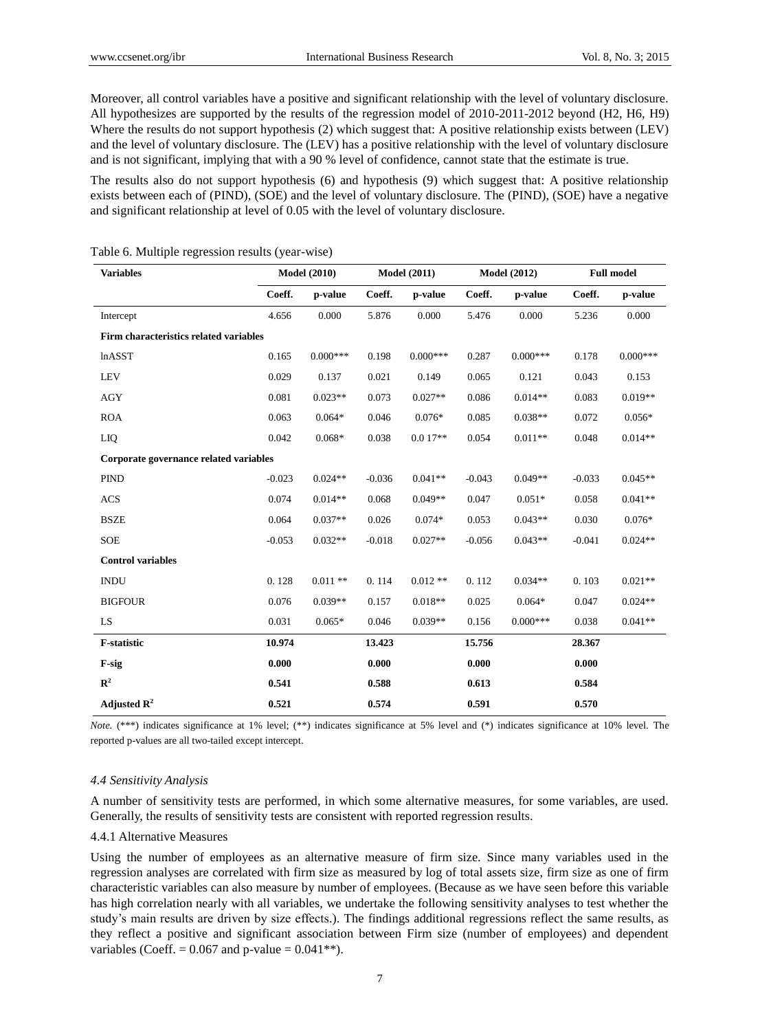Moreover, all control variables have a positive and significant relationship with the level of voluntary disclosure. All hypothesizes are supported by the results of the regression model of 2010-2011-2012 beyond (H2, H6, H9) Where the results do not support hypothesis (2) which suggest that: A positive relationship exists between (LEV) and the level of voluntary disclosure. The (LEV) has a positive relationship with the level of voluntary disclosure and is not significant, implying that with a 90 % level of confidence, cannot state that the estimate is true.

The results also do not support hypothesis (6) and hypothesis (9) which suggest that: A positive relationship exists between each of (PIND), (SOE) and the level of voluntary disclosure. The (PIND), (SOE) have a negative and significant relationship at level of 0.05 with the level of voluntary disclosure.

| <b>Variables</b>                       | <b>Model (2010)</b><br><b>Model (2011)</b> |            | <b>Model (2012)</b> |            | <b>Full model</b> |            |          |            |
|----------------------------------------|--------------------------------------------|------------|---------------------|------------|-------------------|------------|----------|------------|
|                                        | Coeff.                                     | p-value    | Coeff.              | p-value    | Coeff.            | p-value    | Coeff.   | p-value    |
| Intercept                              | 4.656                                      | 0.000      | 5.876               | 0.000      | 5.476             | 0.000      | 5.236    | 0.000      |
| Firm characteristics related variables |                                            |            |                     |            |                   |            |          |            |
| <b>InASST</b>                          | 0.165                                      | $0.000***$ | 0.198               | $0.000***$ | 0.287             | $0.000***$ | 0.178    | $0.000***$ |
| <b>LEV</b>                             | 0.029                                      | 0.137      | 0.021               | 0.149      | 0.065             | 0.121      | 0.043    | 0.153      |
| AGY                                    | 0.081                                      | $0.023**$  | 0.073               | $0.027**$  | 0.086             | $0.014**$  | 0.083    | $0.019**$  |
| <b>ROA</b>                             | 0.063                                      | $0.064*$   | 0.046               | $0.076*$   | 0.085             | $0.038**$  | 0.072    | $0.056*$   |
| LIQ                                    | 0.042                                      | $0.068*$   | 0.038               | $0.017**$  | 0.054             | $0.011**$  | 0.048    | $0.014**$  |
| Corporate governance related variables |                                            |            |                     |            |                   |            |          |            |
| <b>PIND</b>                            | $-0.023$                                   | $0.024**$  | $-0.036$            | $0.041**$  | $-0.043$          | $0.049**$  | $-0.033$ | $0.045**$  |
| <b>ACS</b>                             | 0.074                                      | $0.014**$  | 0.068               | $0.049**$  | 0.047             | $0.051*$   | 0.058    | $0.041**$  |
| <b>BSZE</b>                            | 0.064                                      | $0.037**$  | 0.026               | $0.074*$   | 0.053             | $0.043**$  | 0.030    | $0.076*$   |
| <b>SOE</b>                             | $-0.053$                                   | $0.032**$  | $-0.018$            | $0.027**$  | $-0.056$          | $0.043**$  | $-0.041$ | $0.024**$  |
| <b>Control variables</b>               |                                            |            |                     |            |                   |            |          |            |
| <b>INDU</b>                            | 0.128                                      | $0.011**$  | 0.114               | $0.012**$  | 0.112             | $0.034**$  | 0.103    | $0.021**$  |
| <b>BIGFOUR</b>                         | 0.076                                      | $0.039**$  | 0.157               | $0.018**$  | 0.025             | $0.064*$   | 0.047    | $0.024**$  |
| LS                                     | 0.031                                      | $0.065*$   | 0.046               | $0.039**$  | 0.156             | $0.000***$ | 0.038    | $0.041**$  |
| <b>F-statistic</b>                     | 10.974                                     |            | 13.423              |            | 15.756            |            | 28.367   |            |
| F-sig                                  | 0.000                                      |            | 0.000               |            | 0.000             |            | 0.000    |            |
| $\mathbb{R}^2$                         | 0.541                                      |            | 0.588               |            | 0.613             |            | 0.584    |            |
| Adjusted $\mathbb{R}^2$                | 0.521                                      |            | 0.574               |            | 0.591             |            | 0.570    |            |

Table 6. Multiple regression results (year-wise)

*Note.* (\*\*\*) indicates significance at 1% level; (\*\*) indicates significance at 5% level and (\*) indicates significance at 10% level. The reported p-values are all two-tailed except intercept.

#### *4.4 Sensitivity Analysis*

A number of sensitivity tests are performed, in which some alternative measures, for some variables, are used. Generally, the results of sensitivity tests are consistent with reported regression results.

## 4.4.1 Alternative Measures

Using the number of employees as an alternative measure of firm size. Since many variables used in the regression analyses are correlated with firm size as measured by log of total assets size, firm size as one of firm characteristic variables can also measure by number of employees. (Because as we have seen before this variable has high correlation nearly with all variables, we undertake the following sensitivity analyses to test whether the study's main results are driven by size effects.). The findings additional regressions reflect the same results, as they reflect a positive and significant association between Firm size (number of employees) and dependent variables (Coeff. =  $0.067$  and p-value =  $0.041**$ ).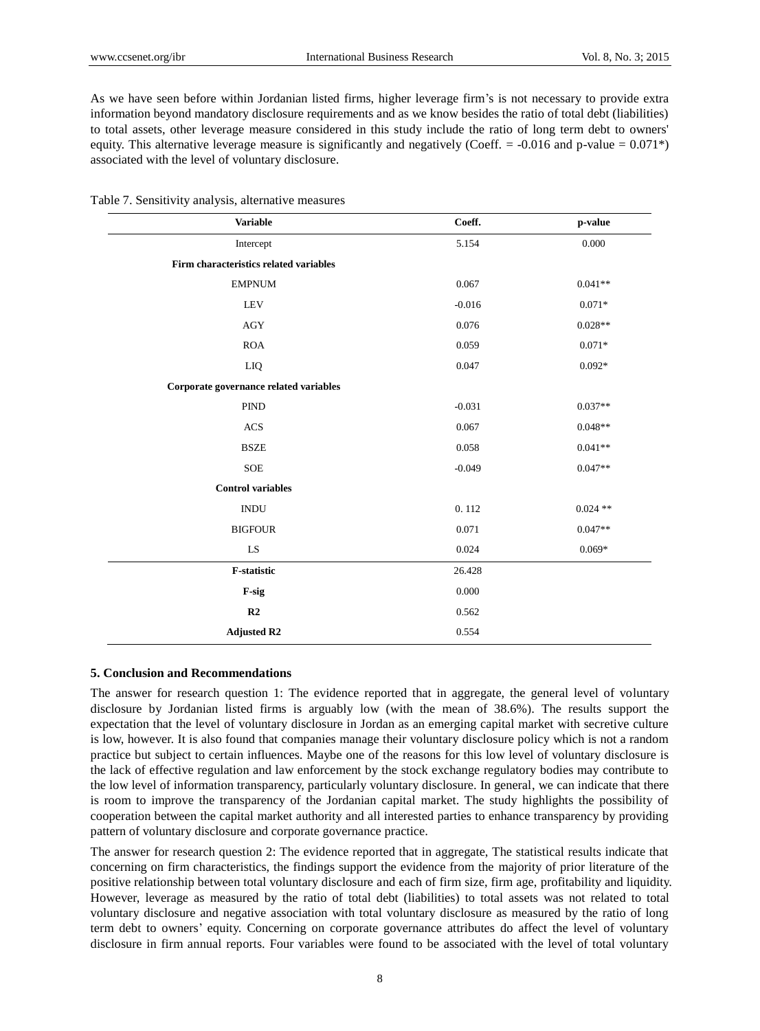As we have seen before within Jordanian listed firms, higher leverage firm's is not necessary to provide extra information beyond mandatory disclosure requirements and as we know besides the ratio of total debt (liabilities) to total assets, other leverage measure considered in this study include the ratio of long term debt to owners' equity. This alternative leverage measure is significantly and negatively (Coeff. =  $-0.016$  and p-value =  $0.071^*$ ) associated with the level of voluntary disclosure.

|  |  | Table 7. Sensitivity analysis, alternative measures |  |  |  |
|--|--|-----------------------------------------------------|--|--|--|
|--|--|-----------------------------------------------------|--|--|--|

| <b>Variable</b>                        | Coeff.   | p-value    |
|----------------------------------------|----------|------------|
| Intercept                              | 5.154    | 0.000      |
| Firm characteristics related variables |          |            |
| <b>EMPNUM</b>                          | 0.067    | $0.041**$  |
| <b>LEV</b>                             | $-0.016$ | $0.071*$   |
| AGY                                    | 0.076    | $0.028**$  |
| ROA                                    | 0.059    | $0.071*$   |
| LIQ                                    | 0.047    | $0.092*$   |
| Corporate governance related variables |          |            |
| PIND                                   | $-0.031$ | $0.037**$  |
| <b>ACS</b>                             | 0.067    | $0.048**$  |
| <b>BSZE</b>                            | 0.058    | $0.041**$  |
| <b>SOE</b>                             | $-0.049$ | $0.047**$  |
| <b>Control variables</b>               |          |            |
| $\mathop{\rm INDU}\nolimits$           | 0.112    | $0.024$ ** |
| <b>BIGFOUR</b>                         | 0.071    | $0.047**$  |
| LS                                     | 0.024    | $0.069*$   |
| <b>F-statistic</b>                     | 26.428   |            |
| F-sig                                  | 0.000    |            |
| R2                                     | 0.562    |            |
| <b>Adjusted R2</b>                     | 0.554    |            |

## **5. Conclusion and Recommendations**

The answer for research question 1: The evidence reported that in aggregate, the general level of voluntary disclosure by Jordanian li*s*ted firms is arguably low (with the mean of 38.6%). The results support the expectation that the level of voluntary disclosure in Jordan as an emerging capital market with secretive culture is low, however. It is also found that companies manage their voluntary disclosure policy which is not a random practice but subject to certain influences. Maybe one of the reasons for this low level of voluntary disclosure is the lack of effective regulation and law enforcement by the stock exchange regulatory bodies may contribute to the low level of information transparency, particularly voluntary disclosure. In general, we can indicate that there is room to improve the transparency of the Jordanian capital market. The study highlights the possibility of cooperation between the capital market authority and all interested parties to enhance transparency by providing pattern of voluntary disclosure and corporate governance practice.

The answer for research question 2: The evidence reported that in aggregate, The statistical results indicate that concerning on firm characteristics, the findings support the evidence from the majority of prior literature of the positive relationship between total voluntary disclosure and each of firm size, firm age, profitability and liquidity. However, leverage as measured by the ratio of total debt (liabilities) to total assets was not related to total voluntary disclosure and negative association with total voluntary disclosure as measured by the ratio of long term debt to owners' equity. Concerning on corporate governance attributes do affect the level of voluntary disclosure in firm annual reports. Four variables were found to be associated with the level of total voluntary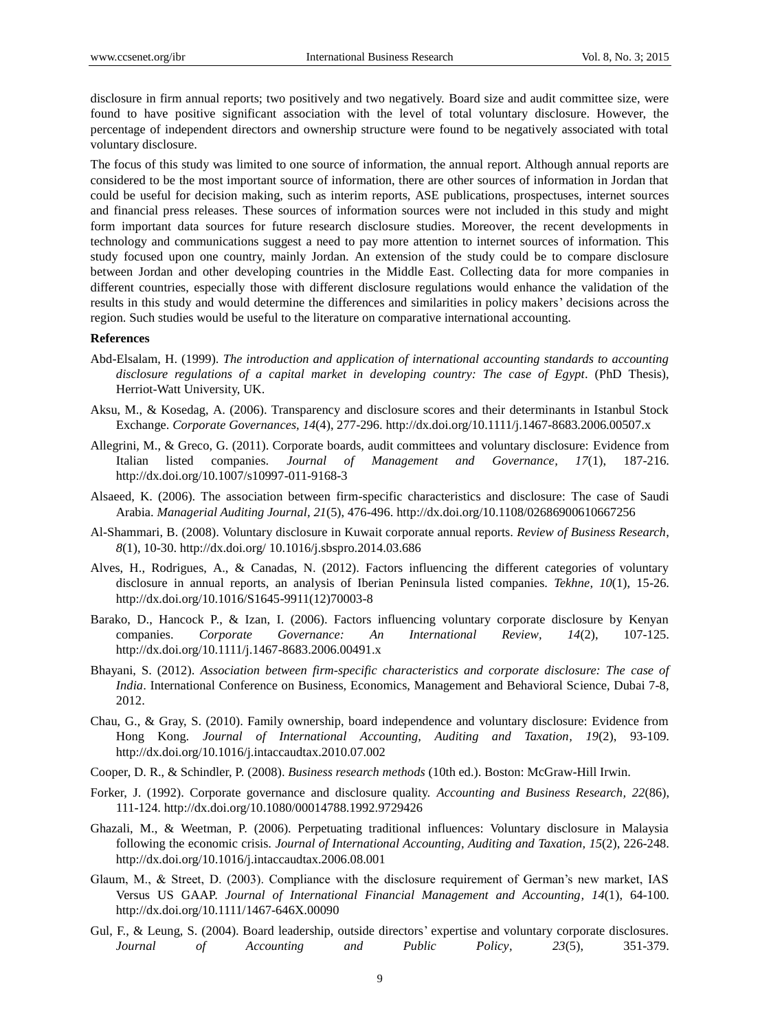disclosure in firm annual reports; two positively and two negatively. Board size and audit committee size, were found to have positive significant association with the level of total voluntary disclosure. However, the percentage of independent directors and ownership structure were found to be negatively associated with total voluntary disclosure.

The focus of this study was limited to one source of information, the annual report. Although annual reports are considered to be the most important source of information, there are other sources of information in Jordan that could be useful for decision making, such as interim reports, ASE publications, prospectuses, internet sources and financial press releases. These sources of information sources were not included in this study and might form important data sources for future research disclosure studies. Moreover, the recent developments in technology and communications suggest a need to pay more attention to internet sources of information. This study focused upon one country, mainly Jordan. An extension of the study could be to compare disclosure between Jordan and other developing countries in the Middle East. Collecting data for more companies in different countries, especially those with different disclosure regulations would enhance the validation of the results in this study and would determine the differences and similarities in policy makers' decisions across the region. Such studies would be useful to the literature on comparative international accounting.

## **References**

- Abd-Elsalam, H. (1999). *The introduction and application of international accounting standards to accounting disclosure regulations of a capital market in developing country: The case of Egypt*. (PhD Thesis), Herriot-Watt University, UK.
- Aksu, M., & Kosedag, A. (2006). Transparency and disclosure scores and their determinants in Istanbul Stock Exchange. *Corporate Governances, 14*(4), 277-296.<http://dx.doi.org/10.1111/j.1467-8683.2006.00507.x>
- Allegrini, M., & Greco, G. (2011). Corporate boards, audit committees and voluntary disclosure: Evidence from Italian listed companies. *Journal of Management and Governance, 17*(1), 187-216. http://dx.doi.org/10.1007/s10997-011-9168-3
- Alsaeed, K. (2006). The association between firm-specific characteristics and disclosure: The case of Saudi Arabia. *Managerial Auditing Journal, 21*(5), 476-496[. http://dx.doi.org/10.1108/02686900610667256](http://dx.doi.org/10.1108/02686900610667256)
- Al-Shammari, B. (2008). Voluntary disclosure in Kuwait corporate annual reports. *Review of Business Research*, *8*(1), 10-30. http://dx.doi.org/ [10.1016/j.sbspro.2014.03.686](http://dx.doi.org/10.1016/j.sbspro.2014.03.686)
- Alves, H., Rodrigues, A., & Canadas, N. (2012). Factors influencing the different categories of voluntary disclosure in annual reports, an analysis of Iberian Peninsula listed companies. *Tekhne, 10*(1), 15-26. http://dx.doi.org/10.1016/S1645-9911(12)70003-8
- Barako, D., Hancock P., & Izan, I. (2006). Factors influencing voluntary corporate disclosure by Kenyan companies. *Corporate Governance: An International Review, 14*(2), 107-125. http://dx.doi.org/10.1111/j.1467-8683.2006.00491.x
- Bhayani, S. (2012). *Association between firm-specific characteristics and corporate disclosure: The case of India*. International Conference on Business, Economics, Management and Behavioral Science, Dubai 7-8, 2012.
- Chau, G., & Gray, S. (2010). Family ownership, board independence and voluntary disclosure: Evidence from Hong Kong. *Journal of International Accounting, Auditing and Taxation, 19*(2), 93-109. http://dx.doi.org/10.1016/j.intaccaudtax.2010.07.002
- Cooper, D. R., & Schindler, P. (2008). *Business research methods* (10th ed.). Boston: McGraw-Hill Irwin.
- Forker, J. (1992). Corporate governance and disclosure quality. *Accounting and Business Research, 22*(86), 111-124. http://dx.doi.org/10.1080/00014788.1992.9729426
- Ghazali, M., & Weetman, P. (2006). Perpetuating traditional influences: Voluntary disclosure in Malaysia following the economic crisis. *Journal of International Accounting, Auditing and Taxation, 15*(2), 226-248. http://dx.doi.org/10.1016/j.intaccaudtax.2006.08.001
- Glaum, M., & Street, D. (2003). Compliance with the disclosure requirement of German's new market, IAS Versus US GAAP. *Journal of International Financial Management and Accounting, 14*(1), 64-100. http://dx.doi.org/10.1111/1467-646X.00090
- Gul, F., & Leung, S. (2004). Board leadership, outside directors' expertise and voluntary corporate disclosures. *Journal of Accounting and Public Policy, 23*(5), 351-379.